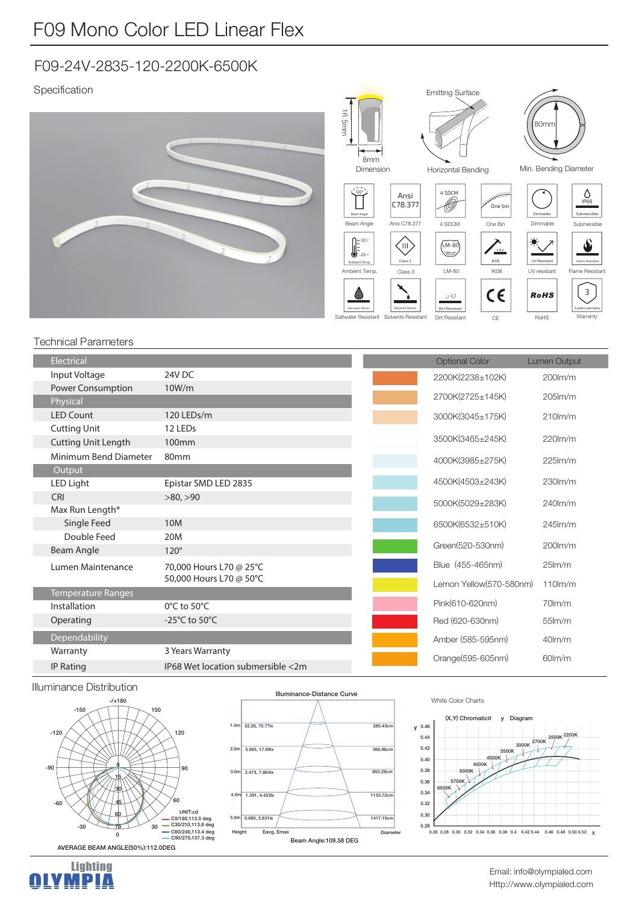# F09-24V-2835-120-2200K-6500K

# Specification



### Technical Parameters

| Electrical                 |                                   | <b>Optional Color</b>   | <b>Lumen Output</b> |
|----------------------------|-----------------------------------|-------------------------|---------------------|
| Input Voltage              | 24V DC                            | 2200K(2238±102K)        | $200$ $\text{lm/m}$ |
| Power Consumption          | 10W/m                             | 2700K(2725±145K)        | $205$ $\text{Im/m}$ |
| Physical                   |                                   |                         |                     |
| <b>LED Count</b>           | 120 LEDs/m                        | 3000K(3045±175K)        | $210$ lm/m          |
| <b>Cutting Unit</b>        | 12 LEDs                           |                         |                     |
| <b>Cutting Unit Length</b> | 100 <sub>mm</sub>                 | 3500K(3465±245K)        | $220$ lm/m          |
| Minimum Bend Diameter      | 80 <sub>mm</sub>                  | 4000K(3985±275K)        | $225$ lm/m          |
| Output                     |                                   |                         |                     |
| LED Light                  | Epistar SMD LED 2835              | 4500K(4503±243K)        | $230lm$ /m          |
| <b>CRI</b>                 | >80, >90                          | 5000K(5029±283K)        | $240$ lm/m          |
| Max Run Length*            |                                   |                         |                     |
| Single Feed                | 10M                               | 6500K(6532±510K)        | $245$ lm/m          |
| Double Feed                | 20M                               |                         | $200$ m/m           |
| Beam Angle                 | $120^\circ$                       | Green(520-530nm)        |                     |
| Lumen Maintenance          | 70,000 Hours L70 @ 25°C           | Blue (455-465nm)        | 25 <sub>Im</sub> /m |
|                            | 50,000 Hours L70 @ 50°C           | Lemon Yellow(570-580nm) | $110$ m/m           |
| <b>Temperature Ranges</b>  |                                   | Pink(610-620nm)         | $70$ lm/m           |
| Installation               | $0^{\circ}$ C to 50 $^{\circ}$ C  |                         |                     |
| Operating                  | -25 $\degree$ C to 50 $\degree$ C | Red (620-630nm)         | $55$ $\text{Im/m}$  |
| Dependability              |                                   | Amber (585-595nm)       | $40lm$ /m           |
| Warranty                   | 3 Years Warranty                  | Orange(595-605nm)       | $60$ lm/m           |
| <b>IP Rating</b>           | IP68 Wet location submersible <2m |                         |                     |

### Illuminance Distribution

Lighting<br>**<u>OLYMPIA</u>** 





#### White Color Charts



Http://www.olympialed.com Email: info@olympialed.com